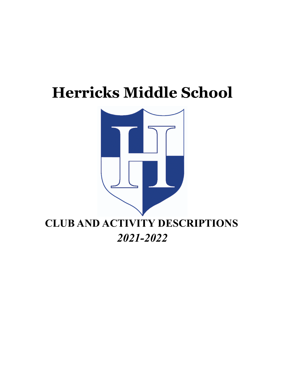# **Herricks Middle School**

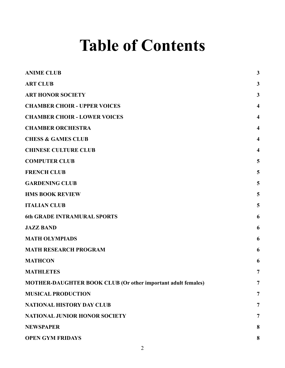# **Table of Contents**

| <b>ANIME CLUB</b>                                                   | 3                       |
|---------------------------------------------------------------------|-------------------------|
| <b>ART CLUB</b>                                                     | 3                       |
| <b>ART HONOR SOCIETY</b>                                            | $\mathbf{3}$            |
| <b>CHAMBER CHOIR - UPPER VOICES</b>                                 | $\overline{\mathbf{4}}$ |
| <b>CHAMBER CHOIR - LOWER VOICES</b>                                 | $\overline{\mathbf{4}}$ |
| <b>CHAMBER ORCHESTRA</b>                                            | $\overline{\mathbf{4}}$ |
| <b>CHESS &amp; GAMES CLUB</b>                                       | $\overline{\mathbf{4}}$ |
| <b>CHINESE CULTURE CLUB</b>                                         | $\overline{\mathbf{4}}$ |
| <b>COMPUTER CLUB</b>                                                | 5                       |
| <b>FRENCH CLUB</b>                                                  | 5                       |
| <b>GARDENING CLUB</b>                                               | 5                       |
| <b>HMS BOOK REVIEW</b>                                              | 5                       |
| <b>ITALIAN CLUB</b>                                                 | 5                       |
| <b>6th GRADE INTRAMURAL SPORTS</b>                                  | 6                       |
| <b>JAZZ BAND</b>                                                    | 6                       |
| <b>MATH OLYMPIADS</b>                                               | 6                       |
| <b>MATH RESEARCH PROGRAM</b>                                        | 6                       |
| <b>MATHCON</b>                                                      | 6                       |
| <b>MATHLETES</b>                                                    | 7                       |
| <b>MOTHER-DAUGHTER BOOK CLUB (Or other important adult females)</b> | 7                       |
| <b>MUSICAL PRODUCTION</b>                                           | 7                       |
| <b>NATIONAL HISTORY DAY CLUB</b>                                    | 7                       |
| <b>NATIONAL JUNIOR HONOR SOCIETY</b>                                | 7                       |
| <b>NEWSPAPER</b>                                                    | 8                       |
| <b>OPEN GYM FRIDAYS</b>                                             | 8                       |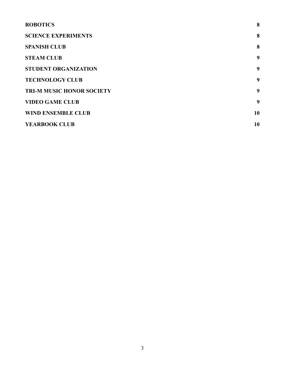<span id="page-2-0"></span>

| <b>ROBOTICS</b>                  | 8  |
|----------------------------------|----|
| <b>SCIENCE EXPERIMENTS</b>       | 8  |
| <b>SPANISH CLUB</b>              | 8  |
| <b>STEAM CLUB</b>                | 9  |
| <b>STUDENT ORGANIZATION</b>      | 9  |
| <b>TECHNOLOGY CLUB</b>           | 9  |
| <b>TRI-M MUSIC HONOR SOCIETY</b> | 9  |
| <b>VIDEO GAME CLUB</b>           | 9  |
| <b>WIND ENSEMBLE CLUB</b>        | 10 |
| <b>YEARBOOK CLUB</b>             | 10 |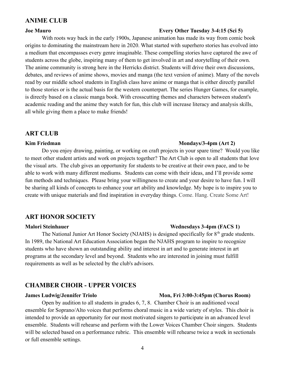## **ANIME CLUB**

### **Joe Mauro Every Other Tuesday 3-4:15 (Sci 5)**

With roots way back in the early 1900s, Japanese animation has made its way from comic book origins to dominating the mainstream here in 2020. What started with superhero stories has evolved into a medium that encompasses every genre imaginable. These compelling stories have captured the awe of students across the globe, inspiring many of them to get involved in art and storytelling of their own. The anime community is strong here in the Herricks district. Students will drive their own discussions, debates, and reviews of anime shows, movies and manga (the text version of anime). Many of the novels read by our middle school students in English class have anime or manga that is either directly parallel to those stories or is the actual basis for the western counterpart. The series Hunger Games, for example, is directly based on a classic manga book. With crosscutting themes and characters between student's academic reading and the anime they watch for fun, this club will increase literacy and analysis skills, all while giving them a place to make friends!

### <span id="page-3-0"></span>**ART CLUB**

#### **Kim Friedman Mondays/3-4pm (Art 2)**

Do you enjoy drawing, painting, or working on craft projects in your spare time? Would you like to meet other student artists and work on projects together? The Art Club is open to all students that love the visual arts. The club gives an opportunity for students to be creative at their own pace, and to be able to work with many different mediums. Students can come with their ideas, and I'll provide some fun methods and techniques. Please bring your willingness to create and your desire to have fun. I will be sharing all kinds of concepts to enhance your art ability and knowledge. My hope is to inspire you to create with unique materials and find inspiration in everyday things. Come. Hang. Create Some Art!

# <span id="page-3-1"></span>**ART HONOR SOCIETY**

### **Malori Steinhauer Wednesdays 3-4pm (FACS 1)**

The National Junior Art Honor Society (NJAHS) is designed specifically for 8<sup>th</sup> grade students. In 1989, the National Art Education Association began the NJAHS program to inspire to recognize students who have shown an outstanding ability and interest in art and to generate interest in art programs at the secondary level and beyond. Students who are interested in joining must fulfill requirements as well as be selected by the club's advisors.

### <span id="page-3-2"></span>**CHAMBER CHOIR - UPPER VOICES**

# **James Ludwig/Jennifer Triolo Mon, Fri 3:00-3:45pm (Chorus Room)**

Open by audition to all students in grades 6, 7, 8. Chamber Choir is an auditioned vocal ensemble for Soprano/Alto voices that performs choral music in a wide variety of styles. This choir is intended to provide an opportunity for our most motivated singers to participate in an advanced level ensemble. Students will rehearse and perform with the Lower Voices Chamber Choir singers. Students will be selected based on a performance rubric. This ensemble will rehearse twice a week in sectionals or full ensemble settings.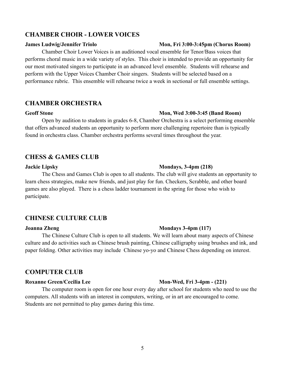# <span id="page-4-0"></span>**CHAMBER CHOIR - LOWER VOICES**

### **James Ludwig/Jennifer Triolo Mon, Fri 3:00-3:45pm (Chorus Room)**

Chamber Choir Lower Voices is an auditioned vocal ensemble for Tenor/Bass voices that performs choral music in a wide variety of styles. This choir is intended to provide an opportunity for our most motivated singers to participate in an advanced level ensemble. Students will rehearse and perform with the Upper Voices Chamber Choir singers. Students will be selected based on a performance rubric. This ensemble will rehearse twice a week in sectional or full ensemble settings.

# <span id="page-4-1"></span>**CHAMBER ORCHESTRA**

### **Geoff Stone Mon, Wed 3:00-3:45 (Band Room)**

Open by audition to students in grades 6-8, Chamber Orchestra is a select performing ensemble that offers advanced students an opportunity to perform more challenging repertoire than is typically found in orchestra class. Chamber orchestra performs several times throughout the year.

# <span id="page-4-2"></span>**CHESS & GAMES CLUB**

The Chess and Games Club is open to all students. The club will give students an opportunity to learn chess strategies, make new friends, and just play for fun. Checkers, Scrabble, and other board games are also played. There is a chess ladder tournament in the spring for those who wish to participate.

# <span id="page-4-3"></span>**CHINESE CULTURE CLUB**

#### **Joanna Zheng Mondays 3-4pm (117)**

The Chinese Culture Club is open to all students. We will learn about many aspects of Chinese culture and do activities such as Chinese brush painting, Chinese calligraphy using brushes and ink, and paper folding. Other activities may include Chinese yo-yo and Chinese Chess depending on interest.

# <span id="page-4-4"></span>**COMPUTER CLUB**

The computer room is open for one hour every day after school for students who need to use the computers. All students with an interest in computers, writing, or in art are encouraged to come. Students are not permitted to play games during this time.

#### **Jackie Lipsky Mondays, 3-4pm (218)**

### **Roxanne Green/Cecilia Lee Mon-Wed, Fri 3-4pm - (221)**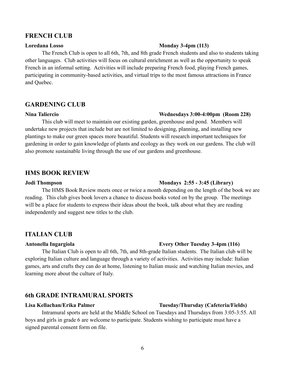### <span id="page-5-0"></span>**FRENCH CLUB**

# The French Club is open to all 6th, 7th, and 8th grade French students and also to students taking other languages. Club activities will focus on cultural enrichment as well as the opportunity to speak French in an informal setting. Activities will include preparing French food, playing French games, participating in community-based activities, and virtual trips to the most famous attractions in France and Quebec.

### <span id="page-5-1"></span>**GARDENING CLUB**

#### **Nina Taliercio Wednesdays 3:00-4:00pm (Room 228)**

This club will meet to maintain our existing garden, greenhouse and pond. Members will undertake new projects that include but are not limited to designing, planning, and installing new plantings to make our green spaces more beautiful. Students will research important techniques for gardening in order to gain knowledge of plants and ecology as they work on our gardens. The club will also promote sustainable living through the use of our gardens and greenhouse.

# <span id="page-5-2"></span>**HMS BOOK REVIEW**

#### **Jodi Thompson Mondays 2:55 - 3:45 (Library)**

The HMS Book Review meets once or twice a month depending on the length of the book we are reading. This club gives book lovers a chance to discuss books voted on by the group. The meetings will be a place for students to express their ideas about the book, talk about what they are reading independently and suggest new titles to the club.

### <span id="page-5-3"></span>**ITALIAN CLUB**

#### **Antonella Ingargiola Every Other Tuesday 3-4pm (116)**

The Italian Club is open to all 6th, 7th, and 8th-grade Italian students. The Italian club will be exploring Italian culture and language through a variety of activities. Activities may include: Italian games, arts and crafts they can do at home, listening to Italian music and watching Italian movies, and learning more about the culture of Italy.

## <span id="page-5-4"></span>**6th GRADE INTRAMURAL SPORTS**

# **Lisa Kellachan/Erika Palmer Tuesday/Thursday (Cafeteria/Fields)**

Intramural sports are held at the Middle School on Tuesdays and Thursdays from 3:05-3:55. All boys and girls in grade 6 are welcome to participate. Students wishing to participate must have a signed parental consent form on file.

#### 6

### **Loredana Losso Monday 3-4pm (113)**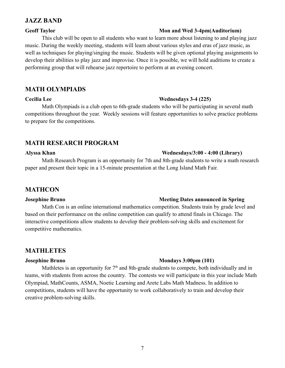# <span id="page-6-0"></span>**JAZZ BAND**

### **Geoff Taylor Mon and Wed 3-4pm(Auditorium)**

# This club will be open to all students who want to learn more about listening to and playing jazz music. During the weekly meeting, students will learn about various styles and eras of jazz music, as well as techniques for playing/singing the music. Students will be given optional playing assignments to develop their abilities to play jazz and improvise. Once it is possible, we will hold auditions to create a performing group that will rehearse jazz repertoire to perform at an evening concert.

# <span id="page-6-1"></span>**MATH OLYMPIADS**

Math Olympiads is a club open to 6th-grade students who will be participating in several math competitions throughout the year. Weekly sessions will feature opportunities to solve practice problems to prepare for the competitions.

# <span id="page-6-2"></span>**MATH RESEARCH PROGRAM**

#### **Alyssa Khan Wednesdays/3:00 - 4:00 (Library)**

Math Research Program is an opportunity for 7th and 8th-grade students to write a math research paper and present their topic in a 15-minute presentation at the Long Island Math Fair.

# <span id="page-6-3"></span>**MATHCON**

# Math Con is an online international mathematics competition. Students train by grade level and based on their performance on the online competition can qualify to attend finals in Chicago. The interactive competitions allow students to develop their problem-solving skills and excitement for competitive mathematics.

# <span id="page-6-4"></span>**MATHLETES**

Mathletes is an opportunity for  $7<sup>th</sup>$  and 8th-grade students to compete, both individually and in teams, with students from across the country. The contests we will participate in this year include Math Olympiad, MathCounts, ASMA, Noetic Learning and Arete Labs Math Madness. In addition to competitions, students will have the opportunity to work collaboratively to train and develop their creative problem-solving skills.

# **Cecilia Lee Wednesdays 3-4 (225)**

### **Josephine Bruno Meeting Dates announced in Spring**

### **Josephine Bruno Mondays 3:00pm (101)**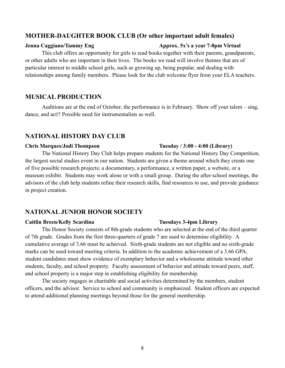# <span id="page-7-0"></span>**MOTHER-DAUGHTER BOOK CLUB (Or other important adult females)**

### **Jenna Caggiano/Tammy Eng Approx. 5x's a year 7-8pm Virtual**

This club offers an opportunity for girls to read books together with their parents, grandparents, or other adults who are important in their lives. The books we read will involve themes that are of particular interest to middle school girls, such as growing up, being popular, and dealing with relationships among family members. Please look for the club welcome flyer from your ELA teachers.

# <span id="page-7-1"></span>**MUSICAL PRODUCTION**

Auditions are at the end of October; the performance is in February. Show off your talent – sing, dance, and act!! Possible need for instrumentalists as well.

# <span id="page-7-2"></span>**NATIONAL HISTORY DAY CLUB**

#### **Chris Marques/Jodi Thompson Tuesday / 3:00 - 4:00 (Library)**

The National History Day Club helps prepare students for the National History Day Competition, the largest social studies event in our nation. Students are given a theme around which they create one of five possible research projects; a documentary, a performance, a written paper, a website, or a museum exhibit. Students may work alone or with a small group. During the after-school meetings, the advisors of the club help students refine their research skills, find resources to use, and provide guidance in project creation.

# <span id="page-7-3"></span>**NATIONAL JUNIOR HONOR SOCIETY**

#### **Caitlin Breen/Kelly Scardina Tuesdays 3-4pm Library**

The Honor Society consists of 8th-grade students who are selected at the end of the third quarter of 7th grade. Grades from the first three-quarters of grade 7 are used to determine eligibility. A cumulative average of 3.66 must be achieved. Sixth-grade students are not eligible and no sixth-grade marks can be used toward meeting criteria. In addition to the academic achievement of a 3.66 GPA, student candidates must show evidence of exemplary behavior and a wholesome attitude toward other students, faculty, and school property. Faculty assessment of behavior and attitude toward peers, staff, and school property is a major step in establishing eligibility for membership.

The society engages in charitable and social activities determined by the members, student officers, and the advisor. Service to school and community is emphasized. Student officers are expected to attend additional planning meetings beyond those for the general membership.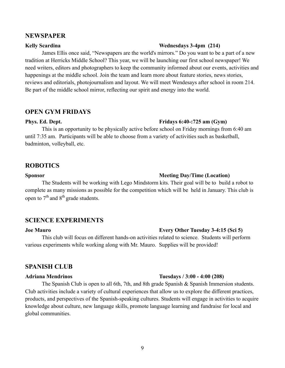### <span id="page-8-0"></span>**NEWSPAPER**

James Ellis once said, "Newspapers are the world's mirrors." Do you want to be a part of a new tradition at Herricks Middle School? This year, we will be launching our first school newspaper! We need writers, editors and photographers to keep the community informed about our events, activities and happenings at the middle school. Join the team and learn more about feature stories, news stories, reviews and editorials, photojournalism and layout. We will meet Wendesays after school in room 214. Be part of the middle school mirror, reflecting our spirit and energy into the world.

### <span id="page-8-1"></span>**OPEN GYM FRIDAYS**

**Phys. Ed. Dept. Fridays 6:40-:725 am (Gym)**

This is an opportunity to be physically active before school on Friday mornings from 6:40 am until 7:35 am. Participants will be able to choose from a variety of activities such as basketball, badminton, volleyball, etc.

# <span id="page-8-2"></span>**ROBOTICS**

#### **Sponsor Meeting Day/Time (Location)**

The Students will be working with Lego Mindstorm kits. Their goal will be to build a robot to complete as many missions as possible for the competition which will be held in January. This club is open to  $7<sup>th</sup>$  and  $8<sup>th</sup>$  grade students.

# <span id="page-8-3"></span>**SCIENCE EXPERIMENTS**

#### **Joe Mauro Every Other Tuesday 3-4:15 (Sci 5)**

This club will focus on different hands-on activities related to science. Students will perform various experiments while working along with Mr. Mauro. Supplies will be provided!

# <span id="page-8-4"></span>**SPANISH CLUB**

### **Adriana Mendrinos Tuesdays / 3:00 - 4:00 (208)**

The Spanish Club is open to all 6th, 7th, and 8th grade Spanish  $\&$  Spanish Immersion students. Club activities include a variety of cultural experiences that allow us to explore the different practices, products, and perspectives of the Spanish-speaking cultures. Students will engage in activities to acquire knowledge about culture, new language skills, promote language learning and fundraise for local and global communities.

### **Kelly Scardina Wednesdays 3-4pm (214)**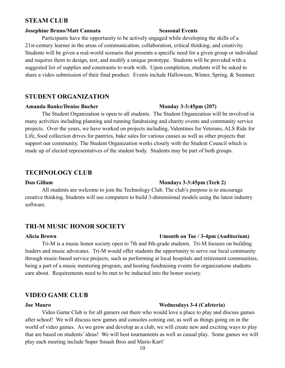# <span id="page-9-0"></span>**STEAM CLUB**

### **Josephine Bruno/Matt Cannata Seasonal Events**

Participants have the opportunity to be actively engaged while developing the skills of a 21st-century learner in the areas of communication, collaboration, critical thinking, and creativity. Students will be given a real-world scenario that presents a specific need for a given group or individual and requires them to design, test, and modify a unique prototype. Students will be provided with a suggested list of supplies and constraints to work with. Upon completion, students will be asked to share a video submission of their final product. Events include Halloween, Winter, Spring, & Summer.

# <span id="page-9-1"></span>**STUDENT ORGANIZATION**

#### **Amanda Banke/Denise Bucher Monday 3-3:45pm (207)**

The Student Organization is open to all students. The Student Organization will be involved in many activities including planning and running fundraising and charity events and community service projects. Over the years, we have worked on projects including, Valentines for Veterans, ALS Ride for Life, food collection drives for pantries, bake sales for various causes as well as other projects that support our community. The Student Organization works closely with the Student Council which is made up of elected representatives of the student body. Students may be part of both groups.

# <span id="page-9-2"></span>**TECHNOLOGY CLUB**

# **Dan Gillam Mondays 3-3:45pm (Tech 2)**

All students are welcome to join the Technology Club. The club's purpose is to encourage creative thinking. Students will use computers to build 3-dimensional models using the latest industry software.

# <span id="page-9-3"></span>**TRI-M MUSIC HONOR SOCIETY**

#### **Alicia Brown 1/month on Tue / 3-4pm (Auditorium)**

Tri-M is a music honor society open to 7th and 8th-grade students. Tri-M focuses on building leaders and music advocates. Tri-M would offer students the opportunity to serve our local community through music-based service projects, such as performing at local hospitals and retirement communities, being a part of a music mentoring program, and hosting fundraising events for organizations students care about. Requirements need to be met to be inducted into the honor society.

# <span id="page-9-4"></span>**VIDEO GAME CLUB**

# **Joe Mauro Wednesdays 3-4 (Cafeteria)**

Video Game Club is for all gamers out there who would love a place to play and discuss games after school! We will discuss new games and consoles coming out, as well as things going on in the world of video games. As we grow and develop as a club, we will create new and exciting ways to play that are based on students' ideas! We will host tournaments as well as casual play. Some games we will play each meeting include Super Smash Bros and Mario Kart!

#### 10